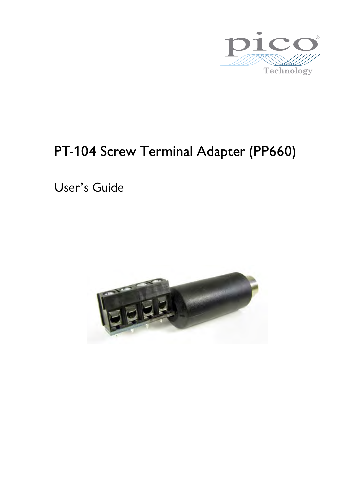

# PT-104 Screw Terminal Adapter (PP660)

User's Guide

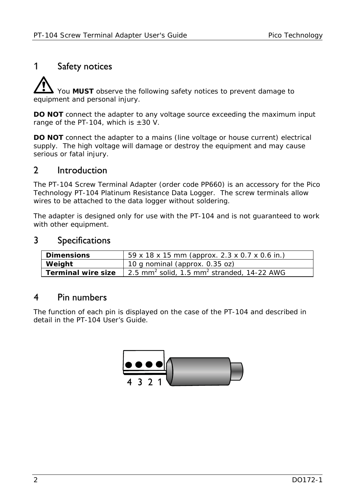### 1 Safety notices

 You **MUST** observe the following safety notices to prevent damage to equipment and personal injury.

**DO NOT** connect the adapter to any voltage source exceeding the maximum input range of the PT-104, which is  $\pm 30$  V.

**DO NOT** connect the adapter to a mains (line voltage or house current) electrical supply. The high voltage will damage or destroy the equipment and may cause serious or fatal injury.

#### 2 Introduction

The PT-104 Screw Terminal Adapter (order code PP660) is an accessory for the Pico Technology PT-104 Platinum Resistance Data Logger. The screw terminals allow wires to be attached to the data logger without soldering.

The adapter is designed only for use with the PT-104 and is not guaranteed to work with other equipment.

#### 3 Specifications

| <b>Dimensions</b>  | 59 x 18 x 15 mm (approx. 2.3 x 0.7 x 0.6 in.)                      |
|--------------------|--------------------------------------------------------------------|
| Weight             | 10 g nominal (approx. 0.35 oz)                                     |
| Terminal wire size | 2.5 mm <sup>2</sup> solid, 1.5 mm <sup>2</sup> stranded, 14-22 AWG |

#### 4 Pin numbers

The function of each pin is displayed on the case of the PT-104 and described in detail in the PT-104 User's Guide.

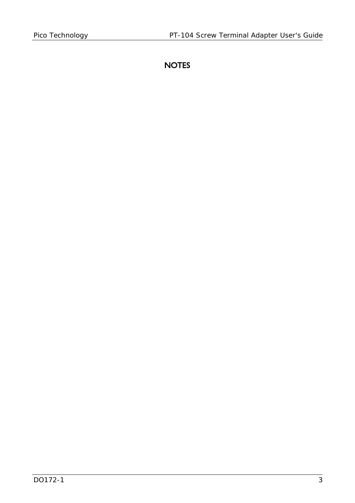## **NOTES**